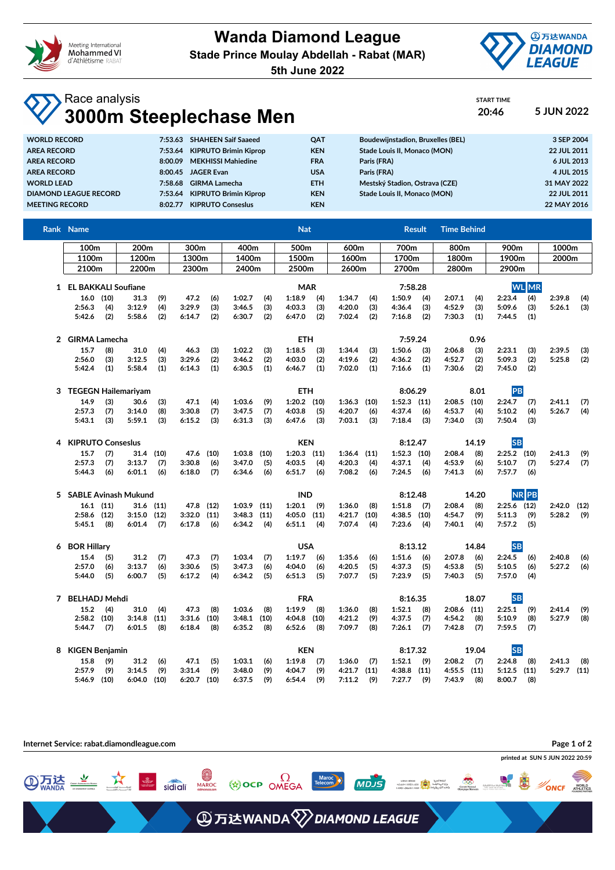

**Wanda Diamond League Stade Prince Moulay Abdellah - Rabat (MAR)**

**5th June 2022**



START TIME

## Race analysis **3000m Steeplechase Men 20:46 5 JUN 2022**

| <b>WORLD RECORD</b>          |         | 7:53.63 SHAHEEN Saif Saaeed  | <b>OAT</b> | Boudewijnstadion, Bruxelles (BEL) | 3 SEP 2004  |
|------------------------------|---------|------------------------------|------------|-----------------------------------|-------------|
| <b>AREA RECORD</b>           | 7:53.64 | <b>KIPRUTO Brimin Kiprop</b> | <b>KEN</b> | Stade Louis II, Monaco (MON)      | 22 JUL 2011 |
| <b>AREA RECORD</b>           | 8:00.09 | <b>MEKHISSI Mahiedine</b>    | <b>FRA</b> | Paris (FRA)                       | 6 JUL 2013  |
| <b>AREA RECORD</b>           | 8:00.45 | <b>JAGER Evan</b>            | <b>USA</b> | Paris (FRA)                       | 4 JUL 2015  |
| <b>WORLD LEAD</b>            | 7:58.68 | <b>GIRMA Lamecha</b>         | <b>ETH</b> | Mestský Stadion, Ostrava (CZE)    | 31 MAY 2022 |
| <b>DIAMOND LEAGUE RECORD</b> | 7:53.64 | <b>KIPRUTO Brimin Kiprop</b> | <b>KEN</b> | Stade Louis II. Monaco (MON)      | 22 JUL 2011 |
| <b>MEETING RECORD</b>        | 8:02.77 | <b>KIPRUTO Consesius</b>     | <b>KEN</b> |                                   | 22 MAY 2016 |

|   | Rank Name                |                 |        |           |               |       |                 |            | <b>Nat</b>       |         |                 |                |               | <b>Result</b> | <b>Time Behind</b> |       |               |       |               |     |
|---|--------------------------|-----------------|--------|-----------|---------------|-------|-----------------|------------|------------------|---------|-----------------|----------------|---------------|---------------|--------------------|-------|---------------|-------|---------------|-----|
|   | 200m<br>100 <sub>m</sub> |                 |        |           | 300m          |       | 400m            |            | 500m             |         | 600m            |                | 700m          |               | 800m               |       | 900m          |       | 1000m         |     |
|   | 1100m<br>1200m           |                 |        | 1300m     |               | 1400m |                 | 1500m      |                  | 1600m   |                 | 1700m          |               | 1800m         |                    | 1900m |               | 2000m |               |     |
|   | 2100m                    |                 | 2200m  |           | 2300m         |       | 2400m           |            | 2500m            |         |                 | 2700m<br>2600m |               |               | 2800m              |       | 2900m         |       |               |     |
|   | 1 EL BAKKALI Soufiane    |                 |        |           |               |       | <b>MAR</b>      |            |                  |         | 7:58.28         |                |               |               | <b>WL</b> MR       |       |               |       |               |     |
|   | $16.0$ (10)              |                 | 31.3   | (9)       | 47.2          | (6)   | 1:02.7          | (4)        | 1:18.9           | (4)     | 1:34.7          | (4)            | 1:50.9        | (4)           | 2:07.1             | (4)   | 2:23.4        | (4)   | 2:39.8        | (4) |
|   | 2:56.3                   | (4)             | 3:12.9 | (4)       | 3:29.9        | (3)   | 3:46.5          | (3)        | 4:03.3           | (3)     | 4:20.0          | (3)            | 4:36.4        | (3)           | 4:52.9             | (3)   | 5:09.6        | (3)   | 5:26.1        | (3) |
|   | 5:42.6                   | (2)             | 5:58.6 | (2)       | 6:14.7        | (2)   | 6:30.7          | (2)        | 6:47.0           | (2)     | 7:02.4          | (2)            | 7:16.8        | (2)           | 7:30.3             | (1)   | 7:44.5        | (1)   |               |     |
|   |                          | 2 GIRMA Lamecha |        |           |               |       |                 | <b>ETH</b> |                  |         |                 | 7:59.24        |               |               | 0.96               |       |               |       |               |     |
|   | 15.7                     | (8)             | 31.0   | (4)       | 46.3          | (3)   | 1:02.2          | (3)        | 1:18.5           | (3)     | 1:34.4          | (3)            | 1:50.6        | (3)           | 2:06.8             | (3)   | 2:23.1        | (3)   | 2:39.5        | (3) |
|   | 2:56.0                   | (3)             | 3:12.5 | (3)       | 3:29.6        | (2)   | 3:46.2          | (2)        | 4:03.0           | (2)     | 4:19.6          | (2)            | 4:36.2        | (2)           | 4:52.7             | (2)   | 5:09.3        | (2)   | 5:25.8        | (2) |
|   | 5:42.4                   | (1)             | 5:58.4 | (1)       | 6:14.3        | (1)   | 6:30.5          | (1)        | 6:46.7           | (1)     | 7:02.0          | (1)            | 7:16.6        | (1)           | 7:30.6             | (2)   | 7:45.0        | (2)   |               |     |
|   | 3 TEGEGN Hailemariyam    |                 |        |           |               |       |                 | <b>ETH</b> |                  |         |                 | 8:06.29        |               |               | 8.01               | PB    |               |       |               |     |
|   | 14.9                     | (3)             | 30.6   | (3)       | 47.1          | (4)   | 1:03.6          | (9)        | $1:20.2$ (10)    |         | $1:36.3$ (10)   |                | $1:52.3$ (11) |               | 2:08.5             | (10)  | 2:24.7        | (7)   | 2:41.1        | (7) |
|   | 2:57.3                   | (7)             | 3:14.0 | (8)       | 3:30.8        | (7)   | 3:47.5          | (7)        | 4:03.8           | (5)     | 4:20.7          | (6)            | 4:37.4        | (6)           | 4:53.7             | (4)   | 5:10.2        | (4)   | 5:26.7        | (4) |
|   | 5:43.1                   | (3)             | 5:59.1 | (3)       | 6:15.2        | (3)   | 6:31.3          | (3)        | 6:47.6           | (3)     | 7:03.1          | (3)            | 7:18.4        | (3)           | 7:34.0             | (3)   | 7:50.4        | (3)   |               |     |
|   | 4 KIPRUTO Conseslus      |                 |        |           |               |       |                 |            | <b>KEN</b>       |         |                 |                | 8:12.47       |               | 14.19              |       | <b>SB</b>     |       |               |     |
|   | 15.7                     | (7)             | 31.4   | (10)      | 47.6 (10)     |       | $1:03.8$ (10)   |            | 1:20.3           | (11)    | $1:36.4$ (11)   |                | $1:52.3$ (10) |               | 2:08.4             | (8)   | $2:25.2$ (10) |       | 2:41.3        | (9) |
|   | 2:57.3                   | (7)             | 3:13.7 | (7)       | 3:30.8        | (6)   | 3:47.0          | (5)        | 4:03.5           | (4)     | 4:20.3          | (4)            | 4:37.1        | (4)           | 4:53.9             | (6)   | 5:10.7        | (7)   | 5:27.4        | (7) |
|   | 5:44.3                   | (6)             | 6:01.1 | (6)       | 6:18.0        | (7)   | 6:34.6          | (6)        | 6:51.7           | (6)     | 7:08.2          | (6)            | 7:24.5        | (6)           | 7:41.3             | (6)   | 7:57.7        | (6)   |               |     |
|   | 5 SABLE Avinash Mukund   |                 |        |           |               |       | <b>IND</b>      |            |                  | 8:12.48 |                 | 14.20          |               | <b>NRPB</b>   |                    |       |               |       |               |     |
|   | $16.1$ $(11)$            |                 |        | 31.6 (11) | 47.8          | (12)  | $1:03.9$ $(11)$ |            | 1:20.1           | (9)     | 1:36.0          | (8)            | 1:51.8        | (7)           | 2:08.4             | (8)   | $2:25.6$ (12) |       | $2:42.0$ (12) |     |
|   | $2:58.6$ (12)            |                 | 3:15.0 | (12)      | 3:32.0        | (11)  | $3:48.3$ (11)   |            | 4:05.0           | (11)    | 4:21.7          | (10)           | 4:38.5 (10)   |               | 4:54.7             | (9)   | 5:11.3        | (9)   | 5:28.2        | (9) |
|   | 5:45.1                   | (8)             | 6:01.4 | (7)       | 6:17.8        | (6)   | 6:34.2          | (4)        | 6:51.1           | (4)     | 7:07.4          | (4)            | 7:23.6        | (4)           | 7:40.1             | (4)   | 7:57.2        | (5)   |               |     |
| 6 | <b>BOR Hillary</b>       |                 |        |           | <b>USA</b>    |       |                 |            | 8:13.12<br>14.84 |         |                 |                | <b>SB</b>     |               |                    |       |               |       |               |     |
|   | 15.4                     | (5)             | 31.2   | (7)       | 47.3          | (7)   | 1:03.4          | (7)        | 1:19.7           | (6)     | 1:35.6          | (6)            | 1:51.6        | (6)           | 2:07.8             | (6)   | 2:24.5        | (6)   | 2:40.8        | (6) |
|   | 2:57.0                   | (6)             | 3:13.7 | (6)       | 3:30.6        | (5)   | 3:47.3          | (6)        | 4:04.0           | (6)     | 4:20.5          | (5)            | 4:37.3        | (5)           | 4:53.8             | (5)   | 5:10.5        | (6)   | 5:27.2        | (6) |
|   | 5:44.0                   | (5)             | 6:00.7 | (5)       | 6:17.2        | (4)   | 6:34.2          | (5)        | 6:51.3           | (5)     | 7:07.7          | (5)            | 7:23.9        | (5)           | 7:40.3             | (5)   | 7:57.0        | (4)   |               |     |
|   | 7 BELHADJ Mehdi          |                 |        |           |               |       |                 |            | <b>FRA</b>       |         |                 |                | 8:16.35       |               | 18.07              |       | <b>SB</b>     |       |               |     |
|   | 15.2                     | (4)             | 31.0   | (4)       | 47.3          | (8)   | 1:03.6          | (8)        | 1:19.9           | (8)     | 1:36.0          | (8)            | 1:52.1        | (8)           | $2:08.6$ (11)      |       | 2:25.1        | (9)   | 2:41.4        | (9) |
|   | $2:58.2$ (10)            |                 | 3:14.8 | (11)      | 3:31.6        | (10)  | $3:48.1$ (10)   |            | 4:04.8           | (10)    | 4:21.2          | (9)            | 4:37.5        | (7)           | 4:54.2             | (8)   | 5:10.9        | (8)   | 5:27.9        | (8) |
|   | 5:44.7                   | (7)             | 6:01.5 | (8)       | 6:18.4        | (8)   | 6:35.2          | (8)        | 6:52.6           | (8)     | 7:09.7          | (8)            | 7:26.1        | (7)           | 7:42.8             | (7)   | 7:59.5        | (7)   |               |     |
| 8 | <b>KIGEN Benjamin</b>    |                 |        |           |               |       |                 |            | <b>KEN</b>       |         |                 |                | 8:17.32       |               |                    | 19.04 | <b>SB</b>     |       |               |     |
|   | 15.8                     | (9)             | 31.2   | (6)       | 47.1          | (5)   | 1:03.1          | (6)        | 1:19.8           | (7)     | 1:36.0          | (7)            | 1:52.1        | (9)           | 2:08.2             | (7)   | 2:24.8        | (8)   | 2:41.3        | (8) |
|   | 2:57.9                   | (9)             | 3:14.5 | (9)       | 3:31.4        | (9)   | 3:48.0          | (9)        | 4:04.7           | (9)     | $4:21.7$ $(11)$ |                | $4:38.8$ (11) |               | $4:55.5$ $(11)$    |       | $5:12.5$ (11) |       | $5:29.7$ (11) |     |
|   | 5:46.9 (10)              |                 | 6:04.0 | (10)      | $6:20.7$ (10) |       | 6:37.5          | (9)        | 6:54.4           | (9)     | 7:11.2          | (9)            | 7:27.7        | (9)           | 7:43.9             | (8)   | 8:00.7        | (8)   |               |     |